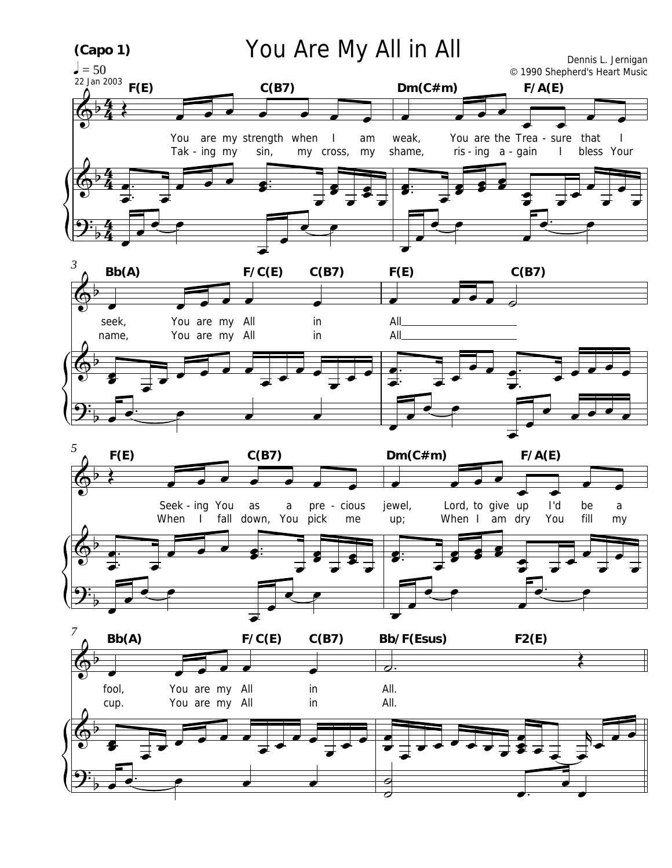